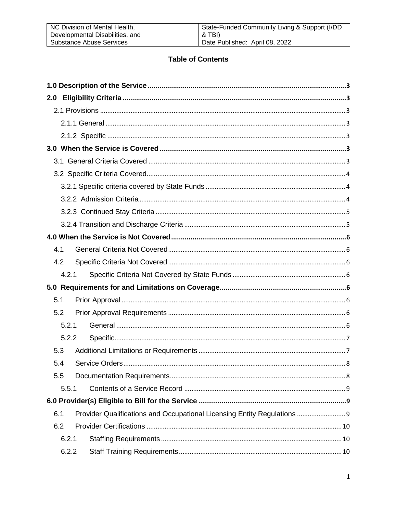| NC Division of Mental Health,   | State-Funded Community Living & Support (I/DD |
|---------------------------------|-----------------------------------------------|
| Developmental Disabilities, and | & TBI)                                        |
| Substance Abuse Services        | Date Published: April 08, 2022                |

# **Table of Contents**

| 2.0   |                                                                          |
|-------|--------------------------------------------------------------------------|
|       |                                                                          |
|       |                                                                          |
|       |                                                                          |
|       |                                                                          |
|       |                                                                          |
|       |                                                                          |
|       |                                                                          |
|       |                                                                          |
|       |                                                                          |
|       |                                                                          |
|       |                                                                          |
| 4.1   |                                                                          |
| 4.2   |                                                                          |
| 4.2.1 |                                                                          |
|       |                                                                          |
| 5.1   |                                                                          |
| 5.2   |                                                                          |
| 5.2.1 |                                                                          |
| 5.2.2 |                                                                          |
| 5.3   |                                                                          |
| 5.4   |                                                                          |
| 5.5   |                                                                          |
| 5.5.1 |                                                                          |
|       |                                                                          |
| 6.1   | Provider Qualifications and Occupational Licensing Entity Regulations  9 |
| 6.2   |                                                                          |
| 6.2.1 |                                                                          |
| 6.2.2 |                                                                          |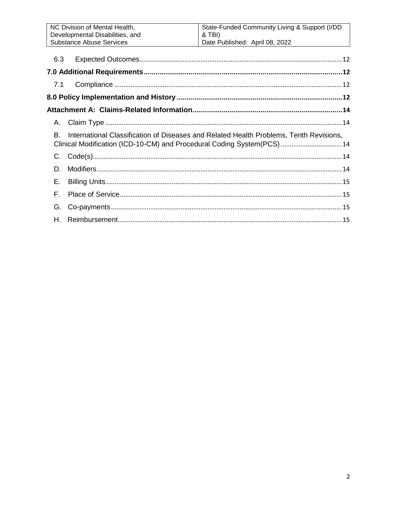|     | NC Division of Mental Health,                                                          | State-Funded Community Living & Support (I/DD                           |  |
|-----|----------------------------------------------------------------------------------------|-------------------------------------------------------------------------|--|
|     | Developmental Disabilities, and                                                        | & TBI)                                                                  |  |
|     | <b>Substance Abuse Services</b>                                                        | Date Published: April 08, 2022                                          |  |
|     |                                                                                        |                                                                         |  |
|     | 6.3                                                                                    |                                                                         |  |
|     |                                                                                        |                                                                         |  |
| 7.1 |                                                                                        |                                                                         |  |
|     |                                                                                        |                                                                         |  |
|     |                                                                                        |                                                                         |  |
| Α.  |                                                                                        |                                                                         |  |
| B.  | International Classification of Diseases and Related Health Problems, Tenth Revisions, |                                                                         |  |
|     |                                                                                        | Clinical Modification (ICD-10-CM) and Procedural Coding System(PCS)  14 |  |
|     |                                                                                        |                                                                         |  |
| D.  |                                                                                        |                                                                         |  |
| Е.  |                                                                                        |                                                                         |  |
| F.  |                                                                                        |                                                                         |  |
| G.  |                                                                                        |                                                                         |  |
| Н.  |                                                                                        |                                                                         |  |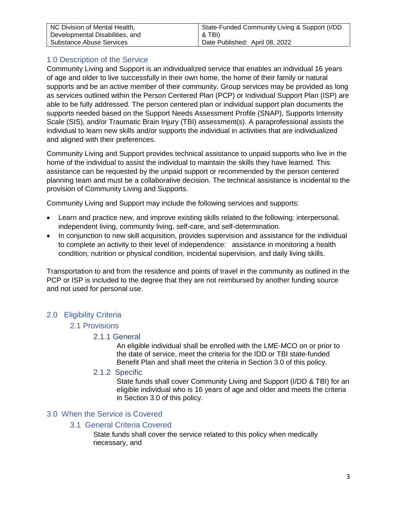| NC Division of Mental Health,   | State-Funded Community Living & Support (I/DD |
|---------------------------------|-----------------------------------------------|
| Developmental Disabilities, and | & TBI)                                        |
| Substance Abuse Services        | Date Published: April 08, 2022                |

# <span id="page-2-0"></span>1.0 Description of the Service

Community Living and Support is an individualized service that enables an individual 16 years of age and older to live successfully in their own home, the home of their family or natural supports and be an active member of their community. Group services may be provided as long as services outlined within the Person Centered Plan (PCP) or Individual Support Plan (ISP) are able to be fully addressed. The person centered plan or individual support plan documents the supports needed based on the Support Needs Assessment Profile (SNAP), Supports Intensity Scale (SIS), and/or Traumatic Brain Injury (TBI) assessment(s). A paraprofessional assists the individual to learn new skills and/or supports the individual in activities that are individualized and aligned with their preferences.

Community Living and Support provides technical assistance to unpaid supports who live in the home of the individual to assist the individual to maintain the skills they have learned. This assistance can be requested by the unpaid support or recommended by the person centered planning team and must be a collaborative decision. The technical assistance is incidental to the provision of Community Living and Supports.

Community Living and Support may include the following services and supports:

- Learn and practice new, and improve existing skills related to the following: interpersonal, independent living, community living, self-care, and self-determination.
- In conjunction to new skill acquisition, provides supervision and assistance for the individual to complete an activity to their level of independence: assistance in monitoring a health condition, nutrition or physical condition, incidental supervision, and daily living skills.

Transportation to and from the residence and points of travel in the community as outlined in the PCP or ISP is included to the degree that they are not reimbursed by another funding source and not used for personal use.

# <span id="page-2-3"></span><span id="page-2-2"></span><span id="page-2-1"></span>2.0 Eligibility Criteria

# 2.1 Provisions

# 2.1.1 General

An eligible individual shall be enrolled with the LME-MCO on or prior to the date of service, meet the criteria for the IDD or TBI state-funded Benefit Plan and shall meet the criteria in Section 3.0 of this policy.

2.1.2 Specific

State funds shall cover Community Living and Support (I/DD & TBI) for an eligible individual who is 16 years of age and older and meets the criteria in Section 3.0 of this policy.

# <span id="page-2-6"></span><span id="page-2-5"></span><span id="page-2-4"></span>3.0 When the Service is Covered

# 3.1 General Criteria Covered

State funds shall cover the service related to this policy when medically necessary, and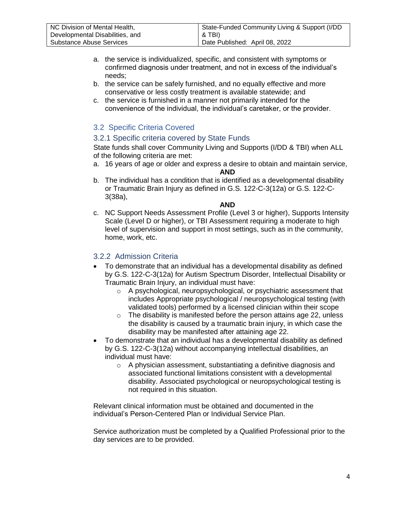| NC Division of Mental Health,   | State-Funded Community Living & Support (I/DD |
|---------------------------------|-----------------------------------------------|
| Developmental Disabilities, and | & TBI)                                        |
| Substance Abuse Services        | Date Published: April 08, 2022                |

- a. the service is individualized, specific, and consistent with symptoms or confirmed diagnosis under treatment, and not in excess of the individual's needs;
- b. the service can be safely furnished, and no equally effective and more conservative or less costly treatment is available statewide; and
- c. the service is furnished in a manner not primarily intended for the convenience of the individual, the individual's caretaker, or the provider.

# <span id="page-3-0"></span>3.2 Specific Criteria Covered

### <span id="page-3-1"></span>3.2.1 Specific criteria covered by State Funds

State funds shall cover Community Living and Supports (I/DD & TBI) when ALL of the following criteria are met:

a. 16 years of age or older and express a desire to obtain and maintain service,

**AND**

b. The individual has a condition that is identified as a developmental disability or Traumatic Brain Injury as defined in G.S. 122-C-3(12a) or G.S. 122-C-3(38a),

**AND**

c. NC Support Needs Assessment Profile (Level 3 or higher), Supports Intensity Scale (Level D or higher), or TBI Assessment requiring a moderate to high level of supervision and support in most settings, such as in the community, home, work, etc.

# <span id="page-3-2"></span>3.2.2 Admission Criteria

- To demonstrate that an individual has a developmental disability as defined by G.S. 122-C-3(12a) for Autism Spectrum Disorder, Intellectual Disability or Traumatic Brain Injury, an individual must have:
	- $\circ$  A psychological, neuropsychological, or psychiatric assessment that includes Appropriate psychological / neuropsychological testing (with validated tools) performed by a licensed clinician within their scope
	- $\circ$  The disability is manifested before the person attains age 22, unless the disability is caused by a traumatic brain injury, in which case the disability may be manifested after attaining age 22.
- To demonstrate that an individual has a developmental disability as defined by G.S. 122-C-3(12a) without accompanying intellectual disabilities, an individual must have:
	- o A physician assessment, substantiating a definitive diagnosis and associated functional limitations consistent with a developmental disability. Associated psychological or neuropsychological testing is not required in this situation.

Relevant clinical information must be obtained and documented in the individual's Person-Centered Plan or Individual Service Plan.

Service authorization must be completed by a Qualified Professional prior to the day services are to be provided.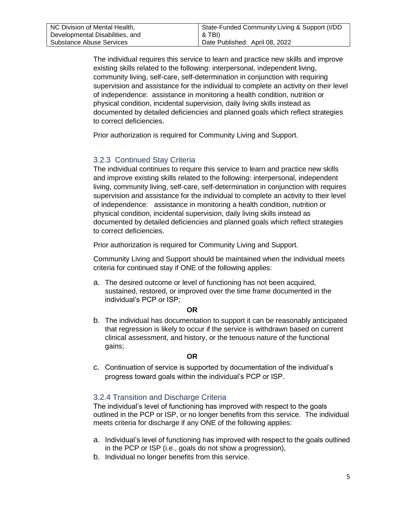The individual requires this service to learn and practice new skills and improve existing skills related to the following: interpersonal, independent living, community living, self-care, self-determination in conjunction with requiring supervision and assistance for the individual to complete an activity on their level of independence: assistance in monitoring a health condition, nutrition or physical condition, incidental supervision, daily living skills instead as documented by detailed deficiencies and planned goals which reflect strategies to correct deficiencies.

Prior authorization is required for Community Living and Support.

# <span id="page-4-0"></span>3.2.3 Continued Stay Criteria

The individual continues to require this service to learn and practice new skills and improve existing skills related to the following: interpersonal, independent living, community living, self-care, self-determination in conjunction with requires supervision and assistance for the individual to complete an activity to their level of independence: assistance in monitoring a health condition, nutrition or physical condition, incidental supervision, daily living skills instead as documented by detailed deficiencies and planned goals which reflect strategies to correct deficiencies.

Prior authorization is required for Community Living and Support.

Community Living and Support should be maintained when the individual meets criteria for continued stay if ONE of the following applies:

a. The desired outcome or level of functioning has not been acquired, sustained, restored, or improved over the time frame documented in the individual's PCP or ISP;

#### **OR**

b. The individual has documentation to support it can be reasonably anticipated that regression is likely to occur if the service is withdrawn based on current clinical assessment, and history, or the tenuous nature of the functional gains;

#### **OR**

c. Continuation of service is supported by documentation of the individual's progress toward goals within the individual's PCP or ISP.

# <span id="page-4-1"></span>3.2.4 Transition and Discharge Criteria

The individual's level of functioning has improved with respect to the goals outlined in the PCP or ISP, or no longer benefits from this service. The individual meets criteria for discharge if any ONE of the following applies:

- a. Individual's level of functioning has improved with respect to the goals outlined in the PCP or ISP (i.e., goals do not show a progression),
- b. Individual no longer benefits from this service.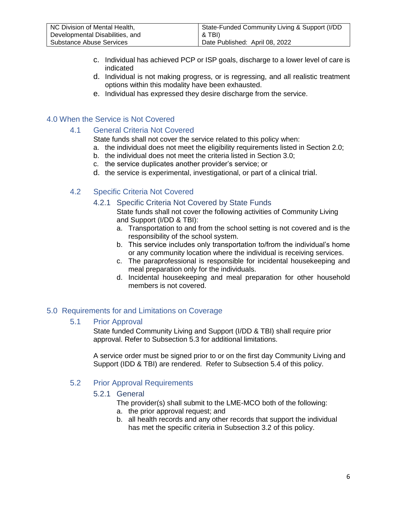- c. Individual has achieved PCP or ISP goals, discharge to a lower level of care is indicated
- d. Individual is not making progress, or is regressing, and all realistic treatment options within this modality have been exhausted.
- e. Individual has expressed they desire discharge from the service.

# <span id="page-5-1"></span><span id="page-5-0"></span>4.0 When the Service is Not Covered

# 4.1 General Criteria Not Covered

State funds shall not cover the service related to this policy when:

- a. the individual does not meet the eligibility requirements listed in Section 2.0;
- b. the individual does not meet the criteria listed in Section 3.0;
- c. the service duplicates another provider's service; or
- d. the service is experimental, investigational, or part of a clinical trial.

# <span id="page-5-3"></span><span id="page-5-2"></span>4.2 Specific Criteria Not Covered

### 4.2.1 Specific Criteria Not Covered by State Funds

State funds shall not cover the following activities of Community Living and Support (I/DD & TBI):

- a. Transportation to and from the school setting is not covered and is the responsibility of the school system.
- b. This service includes only transportation to/from the individual's home or any community location where the individual is receiving services.
- c. The paraprofessional is responsible for incidental housekeeping and meal preparation only for the individuals.
- d. Incidental housekeeping and meal preparation for other household members is not covered.

# <span id="page-5-4"></span>5.0 Requirements for and Limitations on Coverage

# <span id="page-5-5"></span>5.1 Prior Approval

State funded Community Living and Support (I/DD & TBI) shall require prior approval. Refer to Subsection 5.3 for additional limitations.

A service order must be signed prior to or on the first day Community Living and Support (IDD & TBI) are rendered. Refer to Subsection 5.4 of this policy.

# <span id="page-5-7"></span><span id="page-5-6"></span>5.2 Prior Approval Requirements

# 5.2.1 General

The provider(s) shall submit to the LME-MCO both of the following:

- a. the prior approval request; and
- b. all health records and any other records that support the individual has met the specific criteria in Subsection 3.2 of this policy.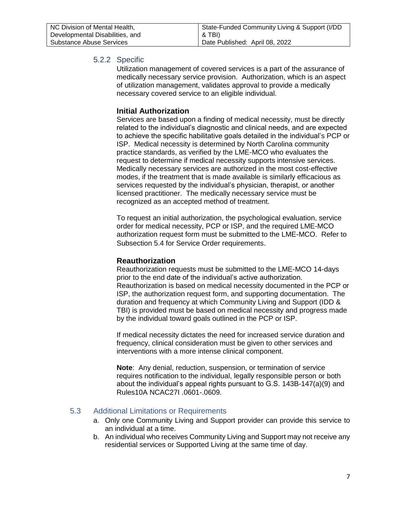<span id="page-6-0"></span>

| NC Division of Mental Health,   | State-Funded Community Living & Support (I/DD) |
|---------------------------------|------------------------------------------------|
| Developmental Disabilities, and | & TBI)                                         |
| Substance Abuse Services        | Date Published: April 08, 2022                 |

### 5.2.2 Specific

Utilization management of covered services is a part of the assurance of medically necessary service provision. Authorization, which is an aspect of utilization management, validates approval to provide a medically necessary covered service to an eligible individual.

#### **Initial Authorization**

Services are based upon a finding of medical necessity, must be directly related to the individual's diagnostic and clinical needs, and are expected to achieve the specific habilitative goals detailed in the individual's PCP or ISP. Medical necessity is determined by North Carolina community practice standards, as verified by the LME-MCO who evaluates the request to determine if medical necessity supports intensive services. Medically necessary services are authorized in the most cost-effective modes, if the treatment that is made available is similarly efficacious as services requested by the individual's physician, therapist, or another licensed practitioner. The medically necessary service must be recognized as an accepted method of treatment.

To request an initial authorization, the psychological evaluation, service order for medical necessity, PCP or ISP, and the required LME-MCO authorization request form must be submitted to the LME-MCO. Refer to Subsection 5.4 for Service Order requirements.

#### **Reauthorization**

Reauthorization requests must be submitted to the LME-MCO 14-days prior to the end date of the individual's active authorization. Reauthorization is based on medical necessity documented in the PCP or ISP, the authorization request form, and supporting documentation. The duration and frequency at which Community Living and Support (IDD & TBI) is provided must be based on medical necessity and progress made by the individual toward goals outlined in the PCP or ISP.

If medical necessity dictates the need for increased service duration and frequency, clinical consideration must be given to other services and interventions with a more intense clinical component.

**Note**: Any denial, reduction, suspension, or termination of service requires notification to the individual, legally responsible person or both about the individual's appeal rights pursuant to G.S. 143B-147(a)(9) and Rules10A NCAC27I .0601-.0609.

#### <span id="page-6-1"></span>5.3 Additional Limitations or Requirements

- a. Only one Community Living and Support provider can provide this service to an individual at a time.
- b. An individual who receives Community Living and Support may not receive any residential services or Supported Living at the same time of day.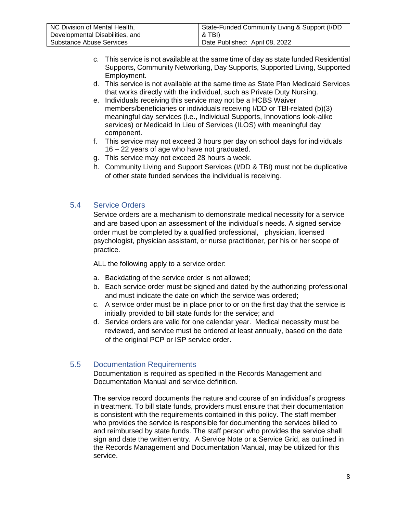| NC Division of Mental Health,   | State-Funded Community Living & Support (I/DD |
|---------------------------------|-----------------------------------------------|
| Developmental Disabilities, and | & TBI).                                       |
| Substance Abuse Services        | Date Published: April 08, 2022                |

- c. This service is not available at the same time of day as state funded Residential Supports, Community Networking, Day Supports, Supported Living, Supported Employment.
- d. This service is not available at the same time as State Plan Medicaid Services that works directly with the individual, such as Private Duty Nursing.
- e. Individuals receiving this service may not be a HCBS Waiver members/beneficiaries or individuals receiving I/DD or TBI-related (b)(3) meaningful day services (i.e., Individual Supports, Innovations look-alike services) or Medicaid In Lieu of Services (ILOS) with meaningful day component.
- f. This service may not exceed 3 hours per day on school days for individuals 16 – 22 years of age who have not graduated.
- g. This service may not exceed 28 hours a week.
- h. Community Living and Support Services (I/DD & TBI) must not be duplicative of other state funded services the individual is receiving.

### <span id="page-7-0"></span>5.4 Service Orders

Service orders are a mechanism to demonstrate medical necessity for a service and are based upon an assessment of the individual's needs. A signed service order must be completed by a qualified professional, physician, licensed psychologist, physician assistant, or nurse practitioner, per his or her scope of practice.

ALL the following apply to a service order:

- a. Backdating of the service order is not allowed;
- b. Each service order must be signed and dated by the authorizing professional and must indicate the date on which the service was ordered;
- c. A service order must be in place prior to or on the first day that the service is initially provided to bill state funds for the service; and
- d. Service orders are valid for one calendar year. Medical necessity must be reviewed, and service must be ordered at least annually, based on the date of the original PCP or ISP service order.

#### <span id="page-7-1"></span>5.5 Documentation Requirements

Documentation is required as specified in the Records Management and Documentation Manual and service definition.

The service record documents the nature and course of an individual's progress in treatment. To bill state funds, providers must ensure that their documentation is consistent with the requirements contained in this policy. The staff member who provides the service is responsible for documenting the services billed to and reimbursed by state funds. The staff person who provides the service shall sign and date the written entry. A Service Note or a Service Grid, as outlined in the Records Management and Documentation Manual, may be utilized for this service.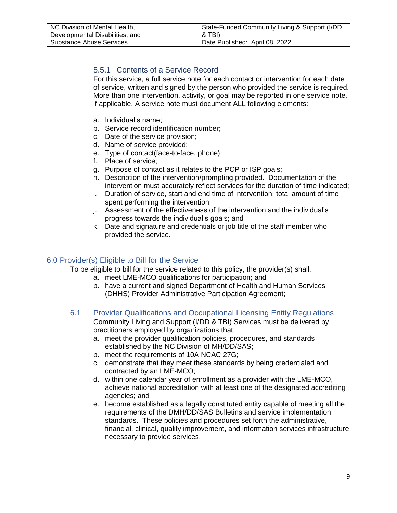# <span id="page-8-0"></span>5.5.1 Contents of a Service Record

For this service, a full service note for each contact or intervention for each date of service, written and signed by the person who provided the service is required. More than one intervention, activity, or goal may be reported in one service note, if applicable. A service note must document ALL following elements:

- a. Individual's name;
- b. Service record identification number;
- c. Date of the service provision;
- d. Name of service provided;
- e. Type of contact(face-to-face, phone);
- f. Place of service;
- g. Purpose of contact as it relates to the PCP or ISP goals;
- h. Description of the intervention/prompting provided. Documentation of the intervention must accurately reflect services for the duration of time indicated;
- i. Duration of service, start and end time of intervention; total amount of time spent performing the intervention;
- j. Assessment of the effectiveness of the intervention and the individual's progress towards the individual's goals; and
- k. Date and signature and credentials or job title of the staff member who provided the service.

# <span id="page-8-1"></span>6.0 Provider(s) Eligible to Bill for the Service

To be eligible to bill for the service related to this policy, the provider(s) shall:

- a. meet LME-MCO qualifications for participation; and
- b. have a current and signed Department of Health and Human Services (DHHS) Provider Administrative Participation Agreement;
- <span id="page-8-2"></span>6.1 Provider Qualifications and Occupational Licensing Entity Regulations Community Living and Support (I/DD & TBI) Services must be delivered by practitioners employed by organizations that:
	- a. meet the provider qualification policies, procedures, and standards established by the NC Division of MH/DD/SAS;
	- b. meet the requirements of 10A NCAC 27G;
	- c. demonstrate that they meet these standards by being credentialed and contracted by an LME-MCO;
	- d. within one calendar year of enrollment as a provider with the LME-MCO, achieve national accreditation with at least one of the designated accrediting agencies; and
	- e. become established as a legally constituted entity capable of meeting all the requirements of the DMH/DD/SAS Bulletins and service implementation standards. These policies and procedures set forth the administrative, financial, clinical, quality improvement, and information services infrastructure necessary to provide services.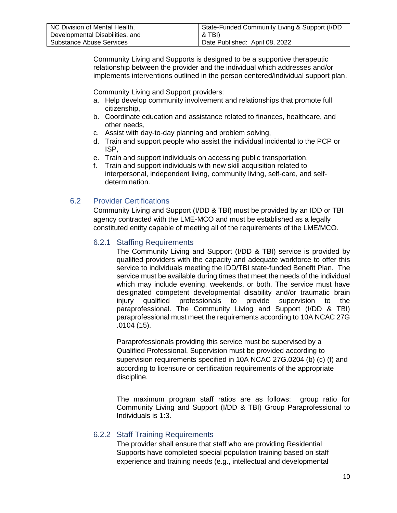| NC Division of Mental Health,   | State-Funded Community Living & Support (I/DD |
|---------------------------------|-----------------------------------------------|
| Developmental Disabilities, and | & TBI)                                        |
| Substance Abuse Services        | Date Published: April 08, 2022                |

Community Living and Supports is designed to be a supportive therapeutic relationship between the provider and the individual which addresses and/or implements interventions outlined in the person centered/individual support plan.

Community Living and Support providers:

- a. Help develop community involvement and relationships that promote full citizenship,
- b. Coordinate education and assistance related to finances, healthcare, and other needs,
- c. Assist with day-to-day planning and problem solving,
- d. Train and support people who assist the individual incidental to the PCP or ISP,
- e. Train and support individuals on accessing public transportation,
- f. Train and support individuals with new skill acquisition related to interpersonal, independent living, community living, self-care, and selfdetermination.

# <span id="page-9-1"></span><span id="page-9-0"></span>6.2 Provider Certifications

Community Living and Support (I/DD & TBI) must be provided by an IDD or TBI agency contracted with the LME-MCO and must be established as a legally constituted entity capable of meeting all of the requirements of the LME/MCO.

### 6.2.1 Staffing Requirements

The Community Living and Support (I/DD & TBI) service is provided by qualified providers with the capacity and adequate workforce to offer this service to individuals meeting the IDD/TBI state-funded Benefit Plan. The service must be available during times that meet the needs of the individual which may include evening, weekends, or both. The service must have designated competent developmental disability and/or traumatic brain injury qualified professionals to provide supervision to the paraprofessional. The Community Living and Support (I/DD & TBI) paraprofessional must meet the requirements according to 10A NCAC 27G .0104 (15).

Paraprofessionals providing this service must be supervised by a Qualified Professional. Supervision must be provided according to supervision requirements specified in 10A NCAC 27G.0204 (b) (c) (f) and according to licensure or certification requirements of the appropriate discipline.

The maximum program staff ratios are as follows: group ratio for Community Living and Support (I/DD & TBI) Group Paraprofessional to Individuals is 1:3.

# <span id="page-9-2"></span>6.2.2 Staff Training Requirements

The provider shall ensure that staff who are providing Residential Supports have completed special population training based on staff experience and training needs (e.g., intellectual and developmental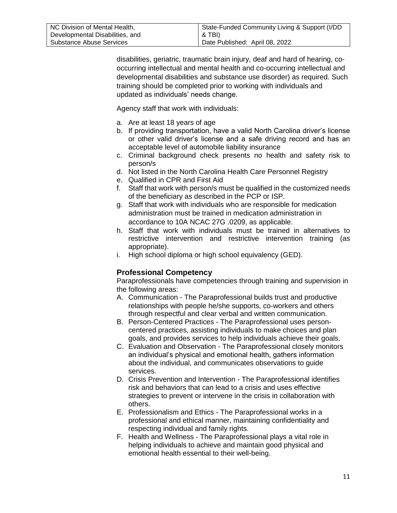| NC Division of Mental Health,   | State-Funded Community Living & Support (I/DD |
|---------------------------------|-----------------------------------------------|
| Developmental Disabilities, and | & TBI)                                        |
| Substance Abuse Services        | Date Published: April 08, 2022                |

disabilities, geriatric, traumatic brain injury, deaf and hard of hearing, cooccurring intellectual and mental health and co-occurring intellectual and developmental disabilities and substance use disorder) as required. Such training should be completed prior to working with individuals and updated as individuals' needs change.

Agency staff that work with individuals:

- a. Are at least 18 years of age
- b. If providing transportation, have a valid North Carolina driver's license or other valid driver's license and a safe driving record and has an acceptable level of automobile liability insurance
- c. Criminal background check presents no health and safety risk to person/s
- d. Not listed in the North Carolina Health Care Personnel Registry
- e. Qualified in CPR and First Aid
- f. Staff that work with person/s must be qualified in the customized needs of the beneficiary as described in the PCP or ISP.
- g. Staff that work with individuals who are responsible for medication administration must be trained in medication administration in accordance to 10A NCAC 27G .0209, as applicable.
- h. Staff that work with individuals must be trained in alternatives to restrictive intervention and restrictive intervention training (as appropriate).
- i. High school diploma or high school equivalency (GED).

# **Professional Competency**

Paraprofessionals have competencies through training and supervision in the following areas:

- A. Communication The Paraprofessional builds trust and productive relationships with people he/she supports, co-workers and others through respectful and clear verbal and written communication.
- B. Person-Centered Practices The Paraprofessional uses personcentered practices, assisting individuals to make choices and plan goals, and provides services to help individuals achieve their goals.
- C. Evaluation and Observation The Paraprofessional closely monitors an individual's physical and emotional health, gathers information about the individual, and communicates observations to guide services.
- D. Crisis Prevention and Intervention The Paraprofessional identifies risk and behaviors that can lead to a crisis and uses effective strategies to prevent or intervene in the crisis in collaboration with others.
- E. Professionalism and Ethics The Paraprofessional works in a professional and ethical manner, maintaining confidentiality and respecting individual and family rights.
- F. Health and Wellness The Paraprofessional plays a vital role in helping individuals to achieve and maintain good physical and emotional health essential to their well-being.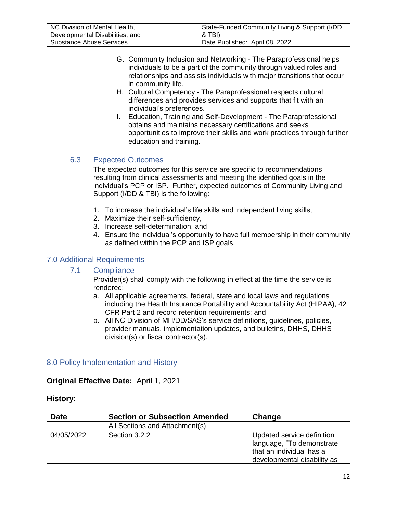| NC Division of Mental Health,   | State-Funded Community Living & Support (I/DD |
|---------------------------------|-----------------------------------------------|
| Developmental Disabilities, and | & TBI)                                        |
| Substance Abuse Services        | Date Published: April 08, 2022                |

- G. Community Inclusion and Networking The Paraprofessional helps individuals to be a part of the community through valued roles and relationships and assists individuals with major transitions that occur in community life.
- H. Cultural Competency The Paraprofessional respects cultural differences and provides services and supports that fit with an individual's preferences.
- I. Education, Training and Self-Development The Paraprofessional obtains and maintains necessary certifications and seeks opportunities to improve their skills and work practices through further education and training.

# <span id="page-11-0"></span>6.3 Expected Outcomes

The expected outcomes for this service are specific to recommendations resulting from clinical assessments and meeting the identified goals in the individual's PCP or ISP. Further, expected outcomes of Community Living and Support (I/DD & TBI) is the following:

- 1. To increase the individual's life skills and independent living skills,
- 2. Maximize their self-sufficiency,
- 3. Increase self-determination, and
- 4. Ensure the individual's opportunity to have full membership in their community as defined within the PCP and ISP goals.

# <span id="page-11-2"></span><span id="page-11-1"></span>7.0 Additional Requirements

#### 7.1 Compliance

Provider(s) shall comply with the following in effect at the time the service is rendered:

- a. All applicable agreements, federal, state and local laws and regulations including the Health Insurance Portability and Accountability Act (HIPAA), 42 CFR Part 2 and record retention requirements; and
- b. All NC Division of MH/DD/SAS's service definitions, guidelines, policies, provider manuals, implementation updates, and bulletins, DHHS, DHHS division(s) or fiscal contractor(s).

# <span id="page-11-3"></span>8.0 Policy Implementation and History

# **Original Effective Date:** April 1, 2021

#### **History**:

| <b>Date</b> | <b>Section or Subsection Amended</b> | Change                                                                                                             |
|-------------|--------------------------------------|--------------------------------------------------------------------------------------------------------------------|
|             | All Sections and Attachment(s)       |                                                                                                                    |
| 04/05/2022  | Section 3.2.2                        | Updated service definition<br>language, "To demonstrate<br>that an individual has a<br>developmental disability as |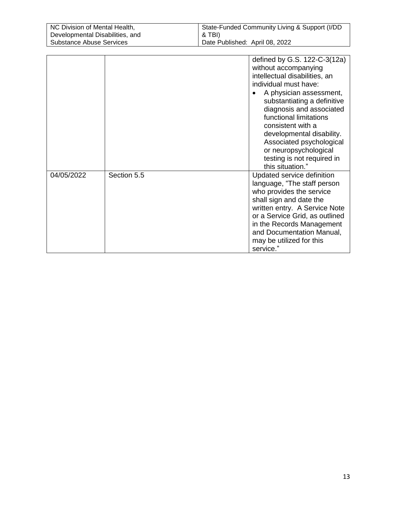| NC Division of Mental Health,   | State-Funded Community Living & Support (I/DD |
|---------------------------------|-----------------------------------------------|
| Developmental Disabilities, and | & TBI)                                        |
| Substance Abuse Services        | Date Published: April 08, 2022                |
|                                 |                                               |

|            |             | defined by G.S. 122-C-3(12a)<br>without accompanying<br>intellectual disabilities, an<br>individual must have:<br>A physician assessment,<br>substantiating a definitive<br>diagnosis and associated<br>functional limitations<br>consistent with a<br>developmental disability.<br>Associated psychological<br>or neuropsychological<br>testing is not required in<br>this situation." |
|------------|-------------|-----------------------------------------------------------------------------------------------------------------------------------------------------------------------------------------------------------------------------------------------------------------------------------------------------------------------------------------------------------------------------------------|
| 04/05/2022 | Section 5.5 | Updated service definition<br>language, "The staff person<br>who provides the service<br>shall sign and date the<br>written entry. A Service Note<br>or a Service Grid, as outlined<br>in the Records Management<br>and Documentation Manual,<br>may be utilized for this<br>service."                                                                                                  |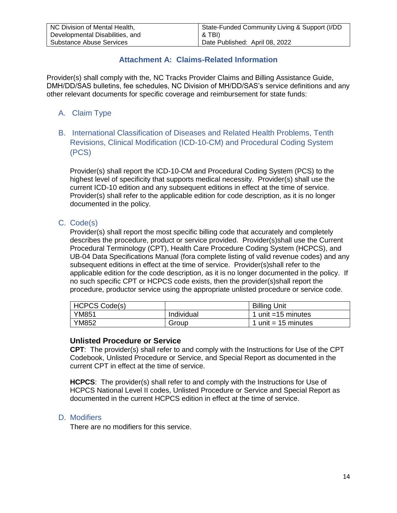# **Attachment A: Claims-Related Information**

<span id="page-13-0"></span>Provider(s) shall comply with the, NC Tracks Provider Claims and Billing Assistance Guide, DMH/DD/SAS bulletins, fee schedules, NC Division of MH/DD/SAS's service definitions and any other relevant documents for specific coverage and reimbursement for state funds:

# <span id="page-13-1"></span>A. Claim Type

<span id="page-13-2"></span>B. International Classification of Diseases and Related Health Problems, Tenth Revisions, Clinical Modification (ICD-10-CM) and Procedural Coding System (PCS)

Provider(s) shall report the ICD-10-CM and Procedural Coding System (PCS) to the highest level of specificity that supports medical necessity. Provider(s) shall use the current ICD-10 edition and any subsequent editions in effect at the time of service. Provider(s) shall refer to the applicable edition for code description, as it is no longer documented in the policy.

# <span id="page-13-3"></span>C. Code(s)

Provider(s) shall report the most specific billing code that accurately and completely describes the procedure, product or service provided. Provider(s)shall use the Current Procedural Terminology (CPT), Health Care Procedure Coding System (HCPCS), and UB-04 Data Specifications Manual (fora complete listing of valid revenue codes) and any subsequent editions in effect at the time of service. Provider(s)shall refer to the applicable edition for the code description, as it is no longer documented in the policy. If no such specific CPT or HCPCS code exists, then the provider(s)shall report the procedure, productor service using the appropriate unlisted procedure or service code.

| <b>HCPCS Code(s)</b> |            | <b>Billing Unit</b> |
|----------------------|------------|---------------------|
| YM851                | Individual | unit =15 minutes    |
| YM852                | Group      | unit $= 15$ minutes |

#### **Unlisted Procedure or Service**

**CPT**: The provider(s) shall refer to and comply with the Instructions for Use of the CPT Codebook, Unlisted Procedure or Service, and Special Report as documented in the current CPT in effect at the time of service.

**HCPCS**: The provider(s) shall refer to and comply with the Instructions for Use of HCPCS National Level II codes, Unlisted Procedure or Service and Special Report as documented in the current HCPCS edition in effect at the time of service.

# <span id="page-13-4"></span>D. Modifiers

There are no modifiers for this service.